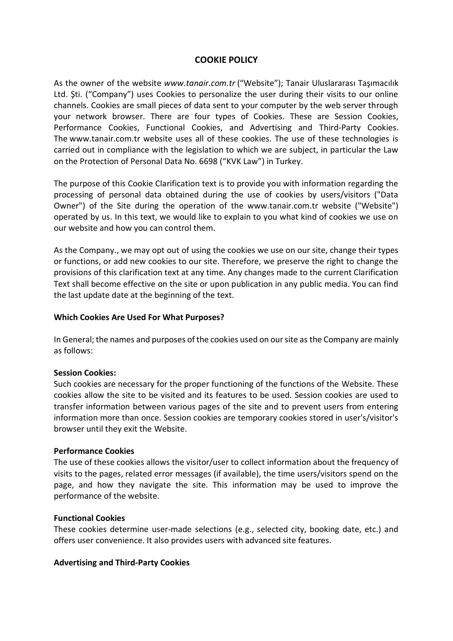## **COOKIE POLICY**

As the owner of the website *www.tanair.com.tr* ("Website"); Tanair Uluslararası Taşımacılık Ltd. Şti. ("Company") uses Cookies to personalize the user during their visits to our online channels. Cookies are small pieces of data sent to your computer by the web server through your network browser. There are four types of Cookies. These are Session Cookies, Performance Cookies, Functional Cookies, and Advertising and Third-Party Cookies. The www.tanair.com.tr website uses all of these cookies. The use of these technologies is carried out in compliance with the legislation to which we are subject, in particular the Law on the Protection of Personal Data No. 6698 ("KVK Law") in Turkey.

The purpose of this Cookie Clarification text is to provide you with information regarding the processing of personal data obtained during the use of cookies by users/visitors ("Data Owner") of the Site during the operation of the www.tanair.com.tr website ("Website") operated by us. In this text, we would like to explain to you what kind of cookies we use on our website and how you can control them.

As the Company., we may opt out of using the cookies we use on our site, change their types or functions, or add new cookies to our site. Therefore, we preserve the right to change the provisions of this clarification text at any time. Any changes made to the current Clarification Text shall become effective on the site or upon publication in any public media. You can find the last update date at the beginning of the text.

#### **Which Cookies Are Used For What Purposes?**

In General; the names and purposes of the cookies used on our site as the Company are mainly as follows:

### **Session Cookies:**

Such cookies are necessary for the proper functioning of the functions of the Website. These cookies allow the site to be visited and its features to be used. Session cookies are used to transfer information between various pages of the site and to prevent users from entering information more than once. Session cookies are temporary cookies stored in user's/visitor's browser until they exit the Website.

#### **Performance Cookies**

The use of these cookies allows the visitor/user to collect information about the frequency of visits to the pages, related error messages (if available), the time users/visitors spend on the page, and how they navigate the site. This information may be used to improve the performance of the website.

### **Functional Cookies**

These cookies determine user-made selections (e.g., selected city, booking date, etc.) and offers user convenience. It also provides users with advanced site features.

#### **Advertising and Third-Party Cookies**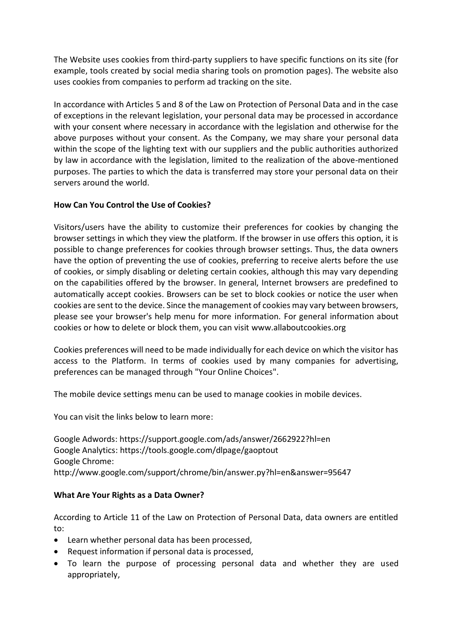The Website uses cookies from third-party suppliers to have specific functions on its site (for example, tools created by social media sharing tools on promotion pages). The website also uses cookies from companies to perform ad tracking on the site.

In accordance with Articles 5 and 8 of the Law on Protection of Personal Data and in the case of exceptions in the relevant legislation, your personal data may be processed in accordance with your consent where necessary in accordance with the legislation and otherwise for the above purposes without your consent. As the Company, we may share your personal data within the scope of the lighting text with our suppliers and the public authorities authorized by law in accordance with the legislation, limited to the realization of the above-mentioned purposes. The parties to which the data is transferred may store your personal data on their servers around the world.

# **How Can You Control the Use of Cookies?**

Visitors/users have the ability to customize their preferences for cookies by changing the browser settings in which they view the platform. If the browser in use offers this option, it is possible to change preferences for cookies through browser settings. Thus, the data owners have the option of preventing the use of cookies, preferring to receive alerts before the use of cookies, or simply disabling or deleting certain cookies, although this may vary depending on the capabilities offered by the browser. In general, Internet browsers are predefined to automatically accept cookies. Browsers can be set to block cookies or notice the user when cookies are sent to the device. Since the management of cookies may vary between browsers, please see your browser's help menu for more information. For general information about cookies or how to delete or block them, you can visit [www.allaboutcookies.org](http://www.allaboutcookies.org/)

Cookies preferences will need to be made individually for each device on which the visitor has access to the Platform. In terms of cookies used by many companies for advertising, preferences can be managed through "Your Online Choices".

The mobile device settings menu can be used to manage cookies in mobile devices.

You can visit the links below to learn more:

Google Adwords: https://support.google.com/ads/answer/2662922?hl=en Google Analytics: https://tools.google.com/dlpage/gaoptout Google Chrome: http://www.google.com/support/chrome/bin/answer.py?hl=en&answer=95647

## **What Are Your Rights as a Data Owner?**

According to Article 11 of the Law on Protection of Personal Data, data owners are entitled to:

- Learn whether personal data has been processed,
- Request information if personal data is processed,
- To learn the purpose of processing personal data and whether they are used appropriately,